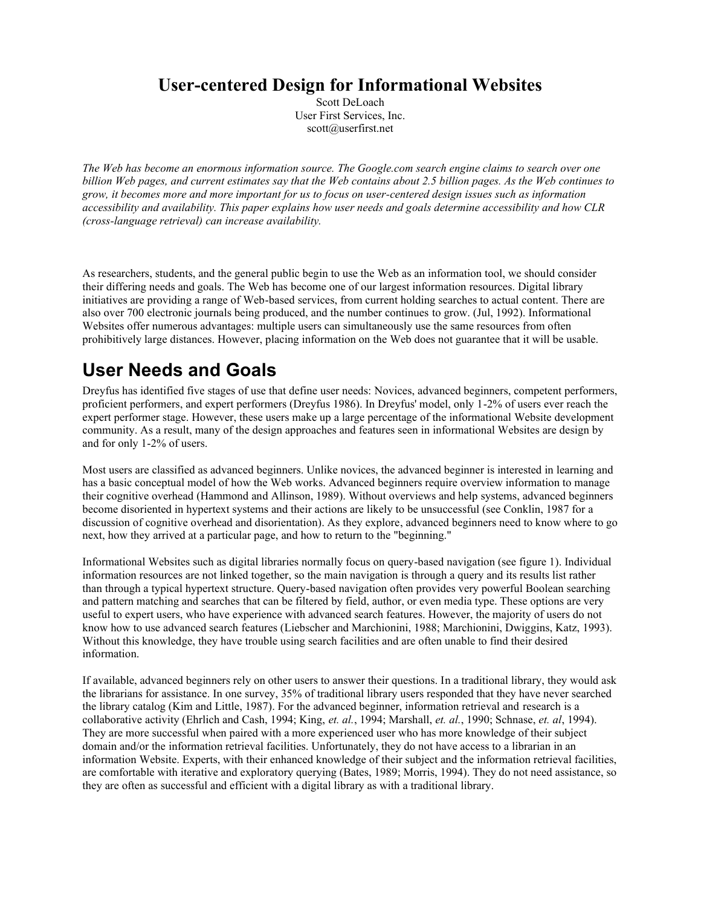#### **User-centered Design for Informational Websites**

Scott DeLoach User First Services, Inc. scott@userfirst.net

*The Web has become an enormous information source. The Google.com search engine claims to search over one billion Web pages, and current estimates say that the Web contains about 2.5 billion pages. As the Web continues to grow, it becomes more and more important for us to focus on user-centered design issues such as information accessibility and availability. This paper explains how user needs and goals determine accessibility and how CLR (cross-language retrieval) can increase availability.*

As researchers, students, and the general public begin to use the Web as an information tool, we should consider their differing needs and goals. The Web has become one of our largest information resources. Digital library initiatives are providing a range of Web-based services, from current holding searches to actual content. There are also over 700 electronic journals being produced, and the number continues to grow. (Jul, 1992). Informational Websites offer numerous advantages: multiple users can simultaneously use the same resources from often prohibitively large distances. However, placing information on the Web does not guarantee that it will be usable.

## **User Needs and Goals**

Dreyfus has identified five stages of use that define user needs: Novices, advanced beginners, competent performers, proficient performers, and expert performers (Dreyfus 1986). In Dreyfus' model, only 1-2% of users ever reach the expert performer stage. However, these users make up a large percentage of the informational Website development community. As a result, many of the design approaches and features seen in informational Websites are design by and for only 1-2% of users.

Most users are classified as advanced beginners. Unlike novices, the advanced beginner is interested in learning and has a basic conceptual model of how the Web works. Advanced beginners require overview information to manage their cognitive overhead (Hammond and Allinson, 1989). Without overviews and help systems, advanced beginners become disoriented in hypertext systems and their actions are likely to be unsuccessful (see Conklin, 1987 for a discussion of cognitive overhead and disorientation). As they explore, advanced beginners need to know where to go next, how they arrived at a particular page, and how to return to the "beginning."

Informational Websites such as digital libraries normally focus on query-based navigation (see figure 1). Individual information resources are not linked together, so the main navigation is through a query and its results list rather than through a typical hypertext structure. Query-based navigation often provides very powerful Boolean searching and pattern matching and searches that can be filtered by field, author, or even media type. These options are very useful to expert users, who have experience with advanced search features. However, the majority of users do not know how to use advanced search features (Liebscher and Marchionini, 1988; Marchionini, Dwiggins, Katz, 1993). Without this knowledge, they have trouble using search facilities and are often unable to find their desired information.

If available, advanced beginners rely on other users to answer their questions. In a traditional library, they would ask the librarians for assistance. In one survey, 35% of traditional library users responded that they have never searched the library catalog (Kim and Little, 1987). For the advanced beginner, information retrieval and research is a collaborative activity (Ehrlich and Cash, 1994; King, *et. al.*, 1994; Marshall, *et. al.*, 1990; Schnase, *et. al*, 1994). They are more successful when paired with a more experienced user who has more knowledge of their subject domain and/or the information retrieval facilities. Unfortunately, they do not have access to a librarian in an information Website. Experts, with their enhanced knowledge of their subject and the information retrieval facilities, are comfortable with iterative and exploratory querying (Bates, 1989; Morris, 1994). They do not need assistance, so they are often as successful and efficient with a digital library as with a traditional library.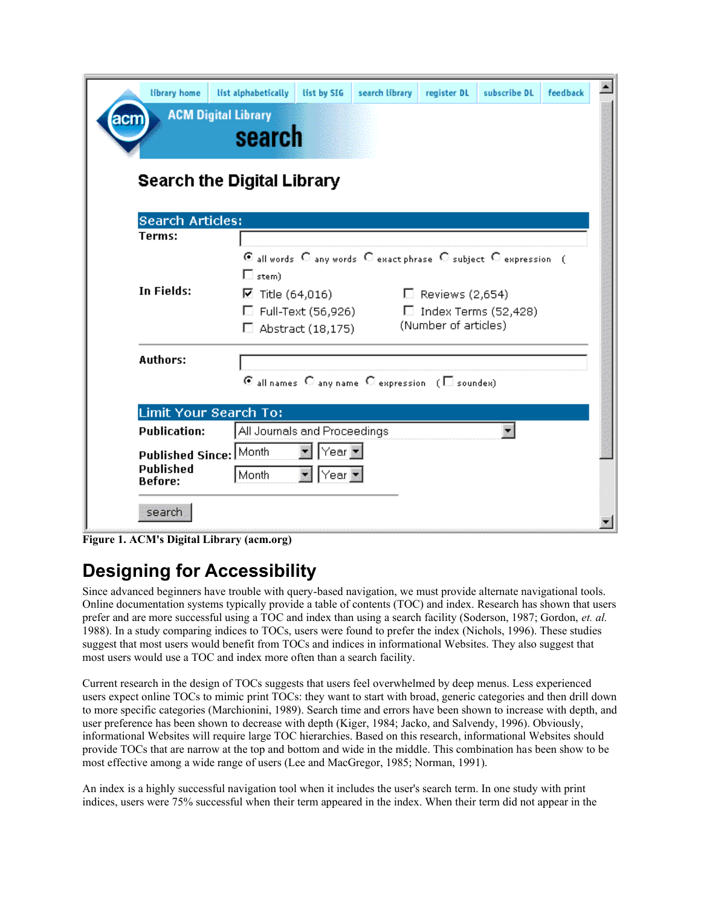| library home            | list alphabetically<br><b>ACM Digital Library</b> | list by SIG                                                     | search library                                                                                                                       | register DL                 | subscribe DL | feedback |  |
|-------------------------|---------------------------------------------------|-----------------------------------------------------------------|--------------------------------------------------------------------------------------------------------------------------------------|-----------------------------|--------------|----------|--|
| acn                     | search                                            |                                                                 |                                                                                                                                      |                             |              |          |  |
|                         | Search the Digital Library                        |                                                                 |                                                                                                                                      |                             |              |          |  |
| <b>Search Articles:</b> |                                                   |                                                                 |                                                                                                                                      |                             |              |          |  |
| Terms:                  |                                                   |                                                                 |                                                                                                                                      |                             |              |          |  |
| <b>In Fields:</b>       | $\square$ stem)                                   | C all words C any words C exact phrase C subject C expression ( |                                                                                                                                      |                             |              |          |  |
|                         | ☑ Title (64,016)                                  |                                                                 | $\Box$ Reviews (2,654)                                                                                                               |                             |              |          |  |
|                         |                                                   | □ Full-Text (56,926)                                            |                                                                                                                                      | $\Box$ Index Terms (52,428) |              |          |  |
|                         | $\Box$                                            | Abstract (18,175)                                               |                                                                                                                                      | (Number of articles)        |              |          |  |
| <b>Authors:</b>         |                                                   |                                                                 |                                                                                                                                      |                             |              |          |  |
|                         |                                                   |                                                                 | $\Theta$ all names $\hspace{0.1 cm} \mathbb{C}$ any name $\hspace{0.1 cm} \mathbb{C}$ expression $\hspace{0.1 cm}$ ( $\Box$ soundex) |                             |              |          |  |
|                         | Limit Your Search To:                             |                                                                 |                                                                                                                                      |                             |              |          |  |
| <b>Publication:</b>     |                                                   | All Journals and Proceedings                                    |                                                                                                                                      |                             |              |          |  |
| Published Since: Month  |                                                   | Year $\overline{\tau}$                                          |                                                                                                                                      |                             |              |          |  |
| <b>Published</b>        | Month                                             | Year $\tau$                                                     |                                                                                                                                      |                             |              |          |  |
| <b>Before:</b>          |                                                   |                                                                 |                                                                                                                                      |                             |              |          |  |
| search                  |                                                   |                                                                 |                                                                                                                                      |                             |              |          |  |
|                         |                                                   |                                                                 |                                                                                                                                      |                             |              |          |  |

**Figure 1. ACM's Digital Library (acm.org)**

# **Designing for Accessibility**

Since advanced beginners have trouble with query-based navigation, we must provide alternate navigational tools. Online documentation systems typically provide a table of contents (TOC) and index. Research has shown that users prefer and are more successful using a TOC and index than using a search facility (Soderson, 1987; Gordon, *et. al.*  1988). In a study comparing indices to TOCs, users were found to prefer the index (Nichols, 1996). These studies suggest that most users would benefit from TOCs and indices in informational Websites. They also suggest that most users would use a TOC and index more often than a search facility.

Current research in the design of TOCs suggests that users feel overwhelmed by deep menus. Less experienced users expect online TOCs to mimic print TOCs: they want to start with broad, generic categories and then drill down to more specific categories (Marchionini, 1989). Search time and errors have been shown to increase with depth, and user preference has been shown to decrease with depth (Kiger, 1984; Jacko, and Salvendy, 1996). Obviously, informational Websites will require large TOC hierarchies. Based on this research, informational Websites should provide TOCs that are narrow at the top and bottom and wide in the middle. This combination has been show to be most effective among a wide range of users (Lee and MacGregor, 1985; Norman, 1991).

An index is a highly successful navigation tool when it includes the user's search term. In one study with print indices, users were 75% successful when their term appeared in the index. When their term did not appear in the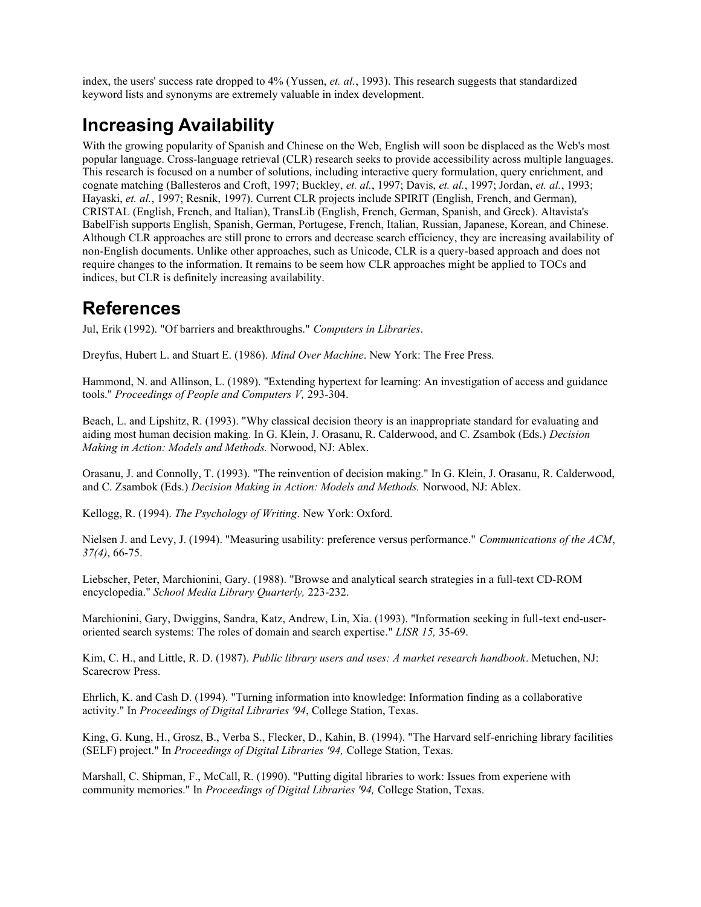index, the users' success rate dropped to 4% (Yussen, *et. al.*, 1993). This research suggests that standardized keyword lists and synonyms are extremely valuable in index development.

## **Increasing Availability**

With the growing popularity of Spanish and Chinese on the Web, English will soon be displaced as the Web's most popular language. Cross-language retrieval (CLR) research seeks to provide accessibility across multiple languages. This research is focused on a number of solutions, including interactive query formulation, query enrichment, and cognate matching (Ballesteros and Croft, 1997; Buckley, *et. al.*, 1997; Davis, *et. al.*, 1997; Jordan, *et. al.*, 1993; Hayaski, *et. al.*, 1997; Resnik, 1997). Current CLR projects include SPIRIT (English, French, and German), CRISTAL (English, French, and Italian), TransLib (English, French, German, Spanish, and Greek). Altavista's BabelFish supports English, Spanish, German, Portugese, French, Italian, Russian, Japanese, Korean, and Chinese. Although CLR approaches are still prone to errors and decrease search efficiency, they are increasing availability of non-English documents. Unlike other approaches, such as Unicode, CLR is a query-based approach and does not require changes to the information. It remains to be seem how CLR approaches might be applied to TOCs and indices, but CLR is definitely increasing availability.

### **References**

Jul, Erik (1992). "Of barriers and breakthroughs." *Computers in Libraries*.

Dreyfus, Hubert L. and Stuart E. (1986). *Mind Over Machine*. New York: The Free Press.

Hammond, N. and Allinson, L. (1989). "Extending hypertext for learning: An investigation of access and guidance tools." *Proceedings of People and Computers V,* 293-304.

Beach, L. and Lipshitz, R. (1993). "Why classical decision theory is an inappropriate standard for evaluating and aiding most human decision making. In G. Klein, J. Orasanu, R. Calderwood, and C. Zsambok (Eds.) *Decision Making in Action: Models and Methods.* Norwood, NJ: Ablex.

Orasanu, J. and Connolly, T. (1993). "The reinvention of decision making." In G. Klein, J. Orasanu, R. Calderwood, and C. Zsambok (Eds.) *Decision Making in Action: Models and Methods.* Norwood, NJ: Ablex.

Kellogg, R. (1994). *The Psychology of Writing*. New York: Oxford.

Nielsen J. and Levy, J. (1994). "Measuring usability: preference versus performance." *Communications of the ACM*, *37(4)*, 66-75.

Liebscher, Peter, Marchionini, Gary. (1988). "Browse and analytical search strategies in a full-text CD-ROM encyclopedia." *School Media Library Quarterly,* 223-232.

Marchionini, Gary, Dwiggins, Sandra, Katz, Andrew, Lin, Xia. (1993). "Information seeking in full-text end-useroriented search systems: The roles of domain and search expertise." *LISR 15,* 35-69.

Kim, C. H., and Little, R. D. (1987). *Public library users and uses: A market research handbook*. Metuchen, NJ: Scarecrow Press.

Ehrlich, K. and Cash D. (1994). "Turning information into knowledge: Information finding as a collaborative activity." In *Proceedings of Digital Libraries '94*, College Station, Texas.

King, G. Kung, H., Grosz, B., Verba S., Flecker, D., Kahin, B. (1994). "The Harvard self-enriching library facilities (SELF) project." In *Proceedings of Digital Libraries '94,* College Station, Texas.

Marshall, C. Shipman, F., McCall, R. (1990). "Putting digital libraries to work: Issues from experiene with community memories." In *Proceedings of Digital Libraries '94,* College Station, Texas.